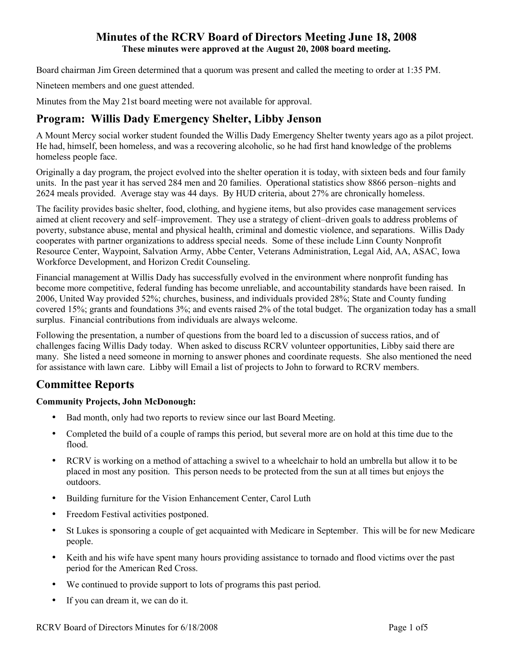### **Minutes of the RCRV Board of Directors Meeting June 18, 2008 These minutes were approved at the August 20, 2008 board meeting.**

Board chairman Jim Green determined that a quorum was present and called the meeting to order at 1:35 PM.

Nineteen members and one guest attended.

Minutes from the May 21st board meeting were not available for approval.

# **Program: Willis Dady Emergency Shelter, Libby Jenson**

A Mount Mercy social worker student founded the Willis Dady Emergency Shelter twenty years ago as a pilot project. He had, himself, been homeless, and was a recovering alcoholic, so he had first hand knowledge of the problems homeless people face.

Originally a day program, the project evolved into the shelter operation it is today, with sixteen beds and four family units. In the past year it has served 284 men and 20 families. Operational statistics show 8866 person–nights and 2624 meals provided. Average stay was 44 days. By HUD criteria, about 27% are chronically homeless.

The facility provides basic shelter, food, clothing, and hygiene items, but also provides case management services aimed at client recovery and self–improvement. They use a strategy of client–driven goals to address problems of poverty, substance abuse, mental and physical health, criminal and domestic violence, and separations. Willis Dady cooperates with partner organizations to address special needs. Some of these include Linn County Nonprofit Resource Center, Waypoint, Salvation Army, Abbe Center, Veterans Administration, Legal Aid, AA, ASAC, Iowa Workforce Development, and Horizon Credit Counseling.

Financial management at Willis Dady has successfully evolved in the environment where nonprofit funding has become more competitive, federal funding has become unreliable, and accountability standards have been raised. In 2006, United Way provided 52%; churches, business, and individuals provided 28%; State and County funding covered 15%; grants and foundations 3%; and events raised 2% of the total budget. The organization today has a small surplus. Financial contributions from individuals are always welcome.

Following the presentation, a number of questions from the board led to a discussion of success ratios, and of challenges facing Willis Dady today. When asked to discuss RCRV volunteer opportunities, Libby said there are many. She listed a need someone in morning to answer phones and coordinate requests. She also mentioned the need for assistance with lawn care. Libby will Email a list of projects to John to forward to RCRV members.

# **Committee Reports**

### **Community Projects, John McDonough:**

- Bad month, only had two reports to review since our last Board Meeting.
- Completed the build of a couple of ramps this period, but several more are on hold at this time due to the flood.
- RCRV is working on a method of attaching a swivel to a wheelchair to hold an umbrella but allow it to be placed in most any position. This person needs to be protected from the sun at all times but enjoys the outdoors.
- Building furniture for the Vision Enhancement Center, Carol Luth
- Freedom Festival activities postponed.
- St Lukes is sponsoring a couple of get acquainted with Medicare in September. This will be for new Medicare people.
- Keith and his wife have spent many hours providing assistance to tornado and flood victims over the past period for the American Red Cross.
- We continued to provide support to lots of programs this past period.
- If you can dream it, we can do it.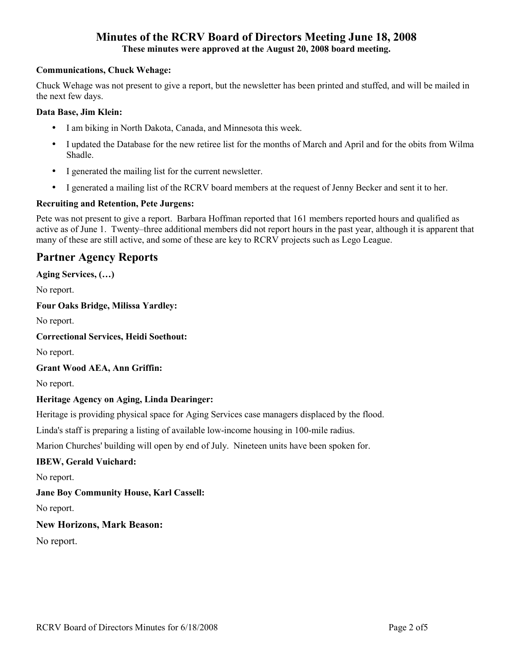# **Minutes of the RCRV Board of Directors Meeting June 18, 2008**

# **These minutes were approved at the August 20, 2008 board meeting.**

#### **Communications, Chuck Wehage:**

Chuck Wehage was not present to give a report, but the newsletter has been printed and stuffed, and will be mailed in the next few days.

### **Data Base, Jim Klein:**

- I am biking in North Dakota, Canada, and Minnesota this week.
- I updated the Database for the new retiree list for the months of March and April and for the obits from Wilma Shadle.
- I generated the mailing list for the current newsletter.
- I generated a mailing list of the RCRV board members at the request of Jenny Becker and sent it to her.

### **Recruiting and Retention, Pete Jurgens:**

Pete was not present to give a report. Barbara Hoffman reported that 161 members reported hours and qualified as active as of June 1. Twenty–three additional members did not report hours in the past year, although it is apparent that many of these are still active, and some of these are key to RCRV projects such as Lego League.

# **Partner Agency Reports**

**Aging Services, (…)** 

No report.

### **Four Oaks Bridge, Milissa Yardley:**

No report.

**Correctional Services, Heidi Soethout:** 

No report.

### **Grant Wood AEA, Ann Griffin:**

No report.

### **Heritage Agency on Aging, Linda Dearinger:**

Heritage is providing physical space for Aging Services case managers displaced by the flood.

Linda's staff is preparing a listing of available low-income housing in 100-mile radius.

Marion Churches' building will open by end of July. Nineteen units have been spoken for.

### **IBEW, Gerald Vuichard:**

No report.

### **Jane Boy Community House, Karl Cassell:**

No report.

### **New Horizons, Mark Beason:**

No report.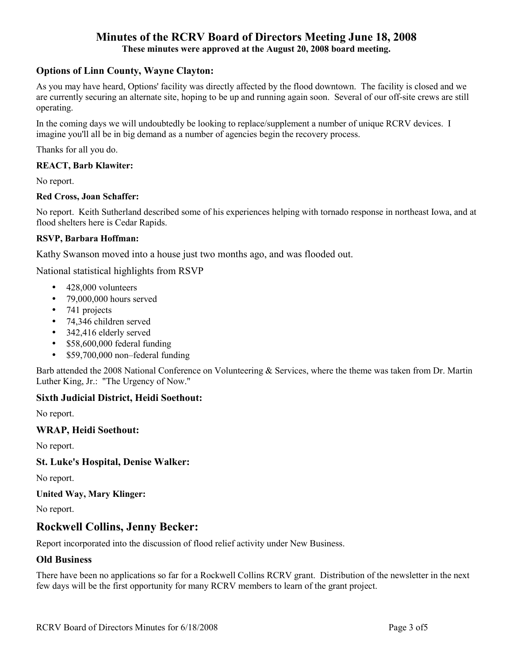# **Minutes of the RCRV Board of Directors Meeting June 18, 2008**

**These minutes were approved at the August 20, 2008 board meeting.** 

### **Options of Linn County, Wayne Clayton:**

As you may have heard, Options' facility was directly affected by the flood downtown. The facility is closed and we are currently securing an alternate site, hoping to be up and running again soon. Several of our off-site crews are still operating.

In the coming days we will undoubtedly be looking to replace/supplement a number of unique RCRV devices. I imagine you'll all be in big demand as a number of agencies begin the recovery process.

Thanks for all you do.

### **REACT, Barb Klawiter:**

No report.

#### **Red Cross, Joan Schaffer:**

No report. Keith Sutherland described some of his experiences helping with tornado response in northeast Iowa, and at flood shelters here is Cedar Rapids.

### **RSVP, Barbara Hoffman:**

Kathy Swanson moved into a house just two months ago, and was flooded out.

National statistical highlights from RSVP

- 428,000 volunteers
- 79,000,000 hours served
- 741 projects
- 74,346 children served
- 342,416 elderly served
- \$58,600,000 federal funding
- \$59,700,000 non–federal funding

Barb attended the 2008 National Conference on Volunteering & Services, where the theme was taken from Dr. Martin Luther King, Jr.: "The Urgency of Now."

### **Sixth Judicial District, Heidi Soethout:**

No report.

#### **WRAP, Heidi Soethout:**

No report.

### **St. Luke's Hospital, Denise Walker:**

No report.

**United Way, Mary Klinger:** 

No report.

# **Rockwell Collins, Jenny Becker:**

Report incorporated into the discussion of flood relief activity under New Business.

### **Old Business**

There have been no applications so far for a Rockwell Collins RCRV grant. Distribution of the newsletter in the next few days will be the first opportunity for many RCRV members to learn of the grant project.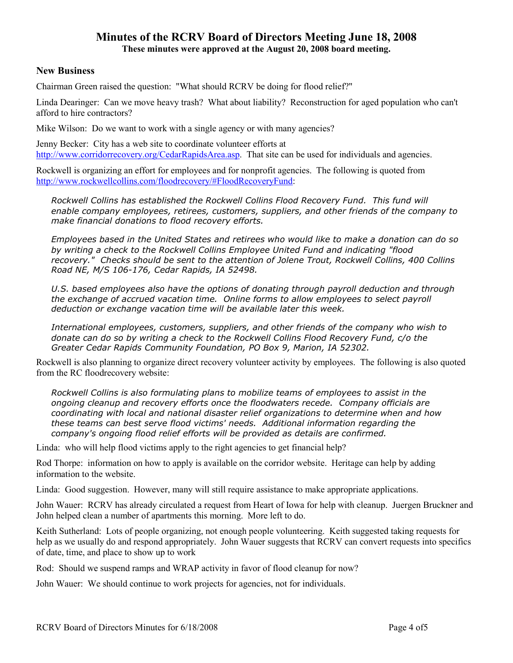# **Minutes of the RCRV Board of Directors Meeting June 18, 2008**

**These minutes were approved at the August 20, 2008 board meeting.** 

### **New Business**

Chairman Green raised the question: "What should RCRV be doing for flood relief?"

Linda Dearinger: Can we move heavy trash? What about liability? Reconstruction for aged population who can't afford to hire contractors?

Mike Wilson: Do we want to work with a single agency or with many agencies?

Jenny Becker: City has a web site to coordinate volunteer efforts at http://www.corridorrecovery.org/CedarRapidsArea.asp. That site can be used for individuals and agencies.

Rockwell is organizing an effort for employees and for nonprofit agencies. The following is quoted from http://www.rockwellcollins.com/floodrecovery/#FloodRecoveryFund:

*Rockwell Collins has established the Rockwell Collins Flood Recovery Fund. This fund will enable company employees, retirees, customers, suppliers, and other friends of the company to make financial donations to flood recovery efforts.* 

*Employees based in the United States and retirees who would like to make a donation can do so by writing a check to the Rockwell Collins Employee United Fund and indicating "flood recovery." Checks should be sent to the attention of Jolene Trout, Rockwell Collins, 400 Collins Road NE, M/S 106-176, Cedar Rapids, IA 52498.* 

*U.S. based employees also have the options of donating through payroll deduction and through the exchange of accrued vacation time. Online forms to allow employees to select payroll deduction or exchange vacation time will be available later this week.* 

*International employees, customers, suppliers, and other friends of the company who wish to donate can do so by writing a check to the Rockwell Collins Flood Recovery Fund, c/o the Greater Cedar Rapids Community Foundation, PO Box 9, Marion, IA 52302.* 

Rockwell is also planning to organize direct recovery volunteer activity by employees. The following is also quoted from the RC floodrecovery website:

*Rockwell Collins is also formulating plans to mobilize teams of employees to assist in the ongoing cleanup and recovery efforts once the floodwaters recede. Company officials are coordinating with local and national disaster relief organizations to determine when and how these teams can best serve flood victims' needs. Additional information regarding the company's ongoing flood relief efforts will be provided as details are confirmed.* 

Linda: who will help flood victims apply to the right agencies to get financial help?

Rod Thorpe: information on how to apply is available on the corridor website. Heritage can help by adding information to the website.

Linda: Good suggestion. However, many will still require assistance to make appropriate applications.

John Wauer: RCRV has already circulated a request from Heart of Iowa for help with cleanup. Juergen Bruckner and John helped clean a number of apartments this morning. More left to do.

Keith Sutherland: Lots of people organizing, not enough people volunteering. Keith suggested taking requests for help as we usually do and respond appropriately. John Wauer suggests that RCRV can convert requests into specifics of date, time, and place to show up to work

Rod: Should we suspend ramps and WRAP activity in favor of flood cleanup for now?

John Wauer: We should continue to work projects for agencies, not for individuals.